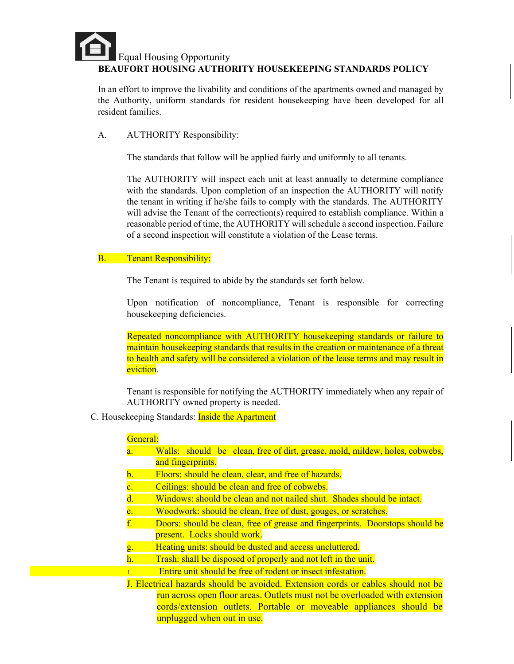# Equal Housing Opportunity **BEAUFORT HOUSING AUTHORITY HOUSEKEEPING STANDARDS POLICY**

In an effort to improve the livability and conditions of the apartments owned and managed by the Authority, uniform standards for resident housekeeping have been developed for all resident families.

A. AUTHORITY Responsibility:

The standards that follow will be applied fairly and uniformly to all tenants.

The AUTHORITY will inspect each unit at least annually to determine compliance with the standards. Upon completion of an inspection the AUTHORITY will notify the tenant in writing if he/she fails to comply with the standards. The AUTHORITY will advise the Tenant of the correction(s) required to establish compliance. Within a reasonable period of time, the AUTHORITY will schedule a second inspection. Failure of a second inspection will constitute a violation of the Lease terms.

# B. Tenant Responsibility:

The Tenant is required to abide by the standards set forth below.

Upon notification of noncompliance, Tenant is responsible for correcting housekeeping deficiencies.

Repeated noncompliance with AUTHORITY housekeeping standards or failure to maintain housekeeping standards that results in the creation or maintenance of a threat to health and safety will be considered a violation of the lease terms and may result in eviction.

Tenant is responsible for notifying the AUTHORITY immediately when any repair of AUTHORITY owned property is needed.

C. Housekeeping Standards: Inside the Apartment

# General:

- a. Walls: should be clean, free of dirt, grease, mold, mildew, holes, cobwebs, and fingerprints.
- b. Floors: should be clean, clear, and free of hazards.
- c. Ceilings: should be clean and free of cobwebs.
- d. Windows: should be clean and not nailed shut. Shades should be intact.
- e. Woodwork: should be clean, free of dust, gouges, or scratches.
- f. Doors: should be clean, free of grease and fingerprints. Doorstops should be present. Locks should work.
- g. Heating units: should be dusted and access uncluttered.
- h. Trash: shall be disposed of properly and not left in the unit.
- 1. Entire unit should be free of rodent or insect infestation.
- J. Electrical hazards should be avoided. Extension cords or cables should not be run across open floor areas. Outlets must not be overloaded with extension cords/extension outlets. Portable or moveable appliances should be unplugged when out in use.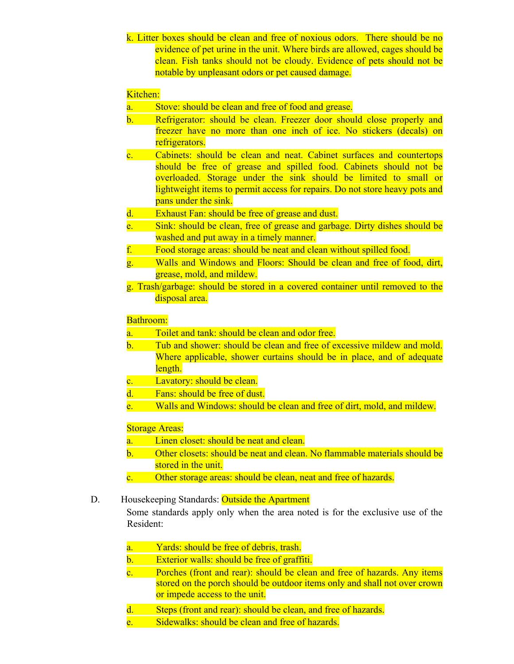k. Litter boxes should be clean and free of noxious odors. There should be no evidence of pet urine in the unit. Where birds are allowed, cages should be clean. Fish tanks should not be cloudy. Evidence of pets should not be notable by unpleasant odors or pet caused damage.

## Kitchen:

- a. Stove: should be clean and free of food and grease.
- b. Refrigerator: should be clean. Freezer door should close properly and freezer have no more than one inch of ice. No stickers (decals) on refrigerators.
- c. Cabinets: should be clean and neat. Cabinet surfaces and countertops should be free of grease and spilled food. Cabinets should not be overloaded. Storage under the sink should be limited to small or lightweight items to permit access for repairs. Do not store heavy pots and pans under the sink.
- d. Exhaust Fan: should be free of grease and dust.
- e. Sink: should be clean, free of grease and garbage. Dirty dishes should be washed and put away in a timely manner.
- f. Food storage areas: should be neat and clean without spilled food.
- g. Walls and Windows and Floors: Should be clean and free of food, dirt, grease, mold, and mildew.
- g. Trash/garbage: should be stored in a covered container until removed to the disposal area.

### Bathroom:

- a. Toilet and tank: should be clean and odor free.
- b. Tub and shower: should be clean and free of excessive mildew and mold. Where applicable, shower curtains should be in place, and of adequate length.
- c. Lavatory: should be clean.
- d. Fans: should be free of dust.
- e. Walls and Windows: should be clean and free of dirt, mold, and mildew.

### **Storage Areas:**

- a. Linen closet: should be neat and clean.
- b. Other closets: should be neat and clean. No flammable materials should be stored in the unit.
- c. Other storage areas: should be clean, neat and free of hazards.
- D. Housekeeping Standards: Outside the Apartment

Some standards apply only when the area noted is for the exclusive use of the Resident:

- a. Yards: should be free of debris, trash.
- b. Exterior walls: should be free of graffiti.
- c. Porches (front and rear): should be clean and free of hazards. Any items stored on the porch should be outdoor items only and shall not over crown or impede access to the unit.
- d. Steps (front and rear): should be clean, and free of hazards.
- e. Sidewalks: should be clean and free of hazards.